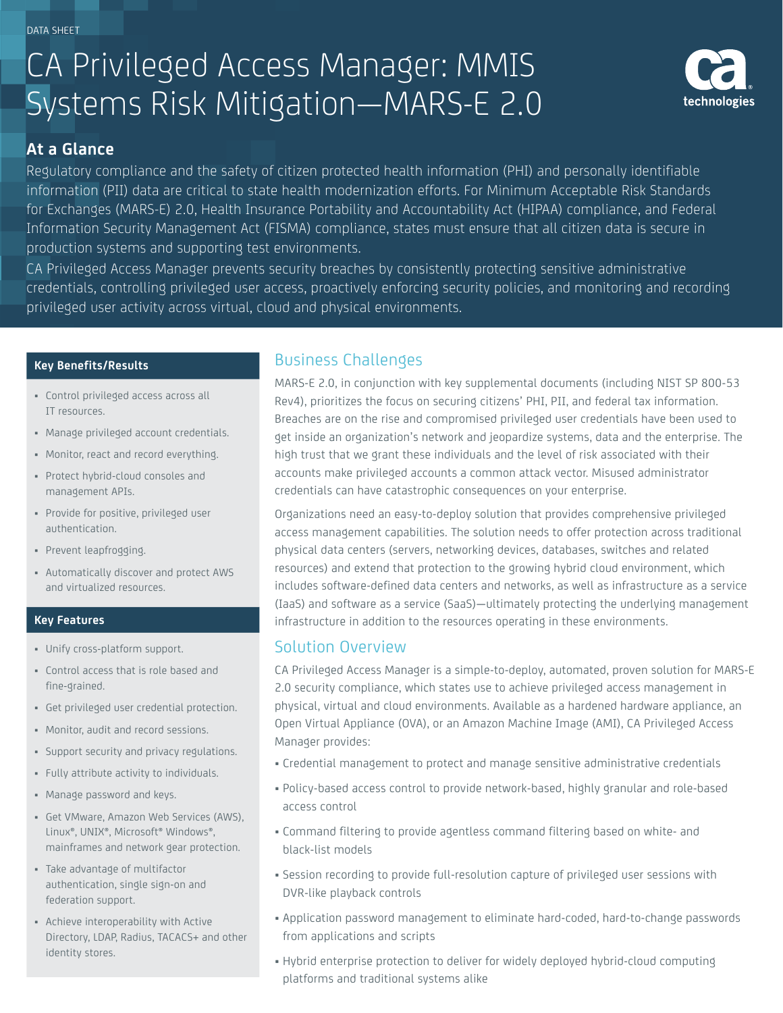DATA SHEET

# CA Privileged Access Manager: MMIS Systems Risk Mitigation—MARS-E 2.0



### **At a Glance**

Regulatory compliance and the safety of citizen protected health information (PHI) and personally identifiable information (PII) data are critical to state health modernization efforts. For Minimum Acceptable Risk Standards for Exchanges (MARS-E) 2.0, Health Insurance Portability and Accountability Act (HIPAA) compliance, and Federal Information Security Management Act (FISMA) compliance, states must ensure that all citizen data is secure in production systems and supporting test environments.

CA Privileged Access Manager prevents security breaches by consistently protecting sensitive administrative credentials, controlling privileged user access, proactively enforcing security policies, and monitoring and recording privileged user activity across virtual, cloud and physical environments.

#### **Key Benefits/Results**

- Control privileged access across all IT resources.
- Manage privileged account credentials.
- Monitor, react and record everything.
- Protect hybrid-cloud consoles and management APIs.
- Provide for positive, privileged user authentication.
- Prevent leapfrogging.
- Automatically discover and protect AWS and virtualized resources.

#### **Key Features**

- Unify cross-platform support.
- Control access that is role based and fine-grained.
- Get privileged user credential protection.
- Monitor, audit and record sessions.
- Support security and privacy regulations.
- Fully attribute activity to individuals.
- Manage password and keys.
- Get VMware, Amazon Web Services (AWS), Linux®, UNIX®, Microsoft® Windows®, mainframes and network gear protection.
- Take advantage of multifactor authentication, single sign-on and federation support.
- Achieve interoperability with Active Directory, LDAP, Radius, TACACS+ and other identity stores.

## Business Challenges

MARS-E 2.0, in conjunction with key supplemental documents (including NIST SP 800-53 Rev4), prioritizes the focus on securing citizens' PHI, PII, and federal tax information. Breaches are on the rise and compromised privileged user credentials have been used to get inside an organization's network and jeopardize systems, data and the enterprise. The high trust that we grant these individuals and the level of risk associated with their accounts make privileged accounts a common attack vector. Misused administrator credentials can have catastrophic consequences on your enterprise.

Organizations need an easy-to-deploy solution that provides comprehensive privileged access management capabilities. The solution needs to offer protection across traditional physical data centers (servers, networking devices, databases, switches and related resources) and extend that protection to the growing hybrid cloud environment, which includes software-defined data centers and networks, as well as infrastructure as a service (IaaS) and software as a service (SaaS)—ultimately protecting the underlying management infrastructure in addition to the resources operating in these environments.

# Solution Overview

CA Privileged Access Manager is a simple-to-deploy, automated, proven solution for MARS-E 2.0 security compliance, which states use to achieve privileged access management in physical, virtual and cloud environments. Available as a hardened hardware appliance, an Open Virtual Appliance (OVA), or an Amazon Machine Image (AMI), CA Privileged Access Manager provides:

- Credential management to protect and manage sensitive administrative credentials
- Policy-based access control to provide network-based, highly granular and role-based access control
- Command filtering to provide agentless command filtering based on white- and black-list models
- Session recording to provide full-resolution capture of privileged user sessions with DVR-like playback controls
- Application password management to eliminate hard-coded, hard-to-change passwords from applications and scripts
- Hybrid enterprise protection to deliver for widely deployed hybrid-cloud computing platforms and traditional systems alike